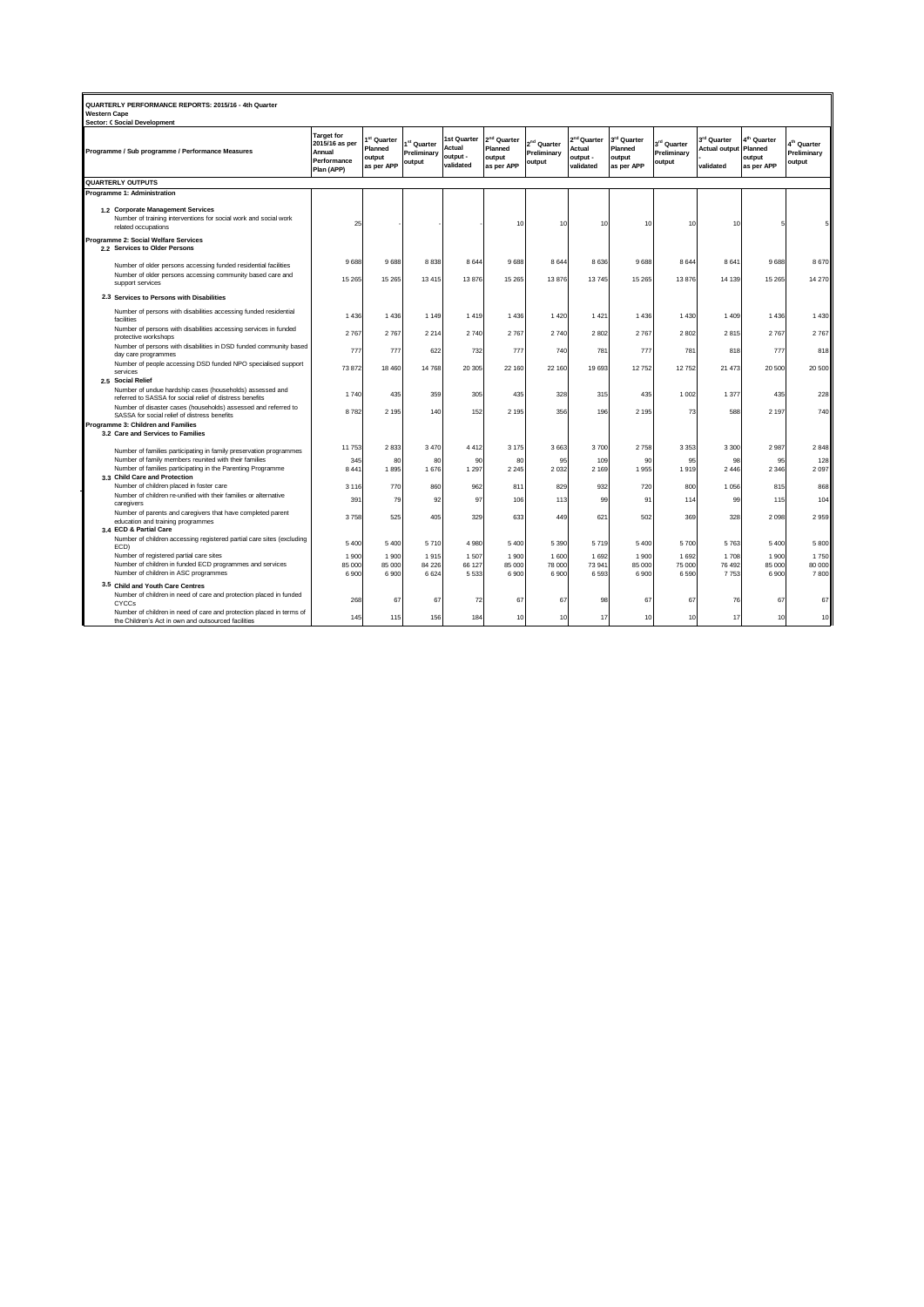| QUARTERLY PERFORMANCE REPORTS: 2015/16 - 4th Quarter<br><b>Western Cape</b><br><b>Sector: C Social Development</b> |                                                                                                                                           |                                                                            |                                                            |                                                  |                                                       |                                                            |                                                  |                                                            |                                                            |                                      |                                                              |                                                            |                                                  |
|--------------------------------------------------------------------------------------------------------------------|-------------------------------------------------------------------------------------------------------------------------------------------|----------------------------------------------------------------------------|------------------------------------------------------------|--------------------------------------------------|-------------------------------------------------------|------------------------------------------------------------|--------------------------------------------------|------------------------------------------------------------|------------------------------------------------------------|--------------------------------------|--------------------------------------------------------------|------------------------------------------------------------|--------------------------------------------------|
| Programme / Sub programme / Performance Measures                                                                   |                                                                                                                                           | <b>Target for</b><br>2015/16 as per<br>Annual<br>Performance<br>Plan (APP) | I <sup>st</sup> Quarter<br>Planned<br>output<br>as per APP | 1 <sup>st</sup> Quarter<br>Preliminary<br>output | <b>Ist Quarter</b><br>Actual<br>output -<br>validated | 2 <sup>nd</sup> Quarter<br>Planned<br>output<br>as per APP | 2 <sup>nd</sup> Quarter<br>Preliminary<br>output | 2 <sup>nd</sup> Quarter<br>Actual<br>output -<br>validated | $3^{\text{rd}}$ Quarter<br>Planned<br>output<br>as per APP | 3rd Quarter<br>Preliminary<br>output | 3 <sup>rd</sup> Quarter<br><b>Actual output</b><br>validated | $4^{\text{th}}$ Quarter<br>Planned<br>output<br>as per APP | 4 <sup>th</sup> Quarter<br>Preliminary<br>output |
| <b>QUARTERLY OUTPUTS</b>                                                                                           |                                                                                                                                           |                                                                            |                                                            |                                                  |                                                       |                                                            |                                                  |                                                            |                                                            |                                      |                                                              |                                                            |                                                  |
| Programme 1: Administration                                                                                        |                                                                                                                                           |                                                                            |                                                            |                                                  |                                                       |                                                            |                                                  |                                                            |                                                            |                                      |                                                              |                                                            |                                                  |
|                                                                                                                    | 1.2 Corporate Management Services<br>Number of training interventions for social work and social work<br>related occupations              | 25                                                                         |                                                            |                                                  |                                                       | 10                                                         | 10                                               | 10                                                         | 10                                                         | 10                                   | 10                                                           |                                                            | 5                                                |
| Programme 2: Social Welfare Services<br>2.2 Services to Older Persons                                              |                                                                                                                                           |                                                                            |                                                            |                                                  |                                                       |                                                            |                                                  |                                                            |                                                            |                                      |                                                              |                                                            |                                                  |
|                                                                                                                    | Number of older persons accessing funded residential facilities                                                                           | 9688                                                                       | 9688                                                       | 8838                                             | 8 6 4 4                                               | 9688                                                       | 8 6 4 4                                          | 8636                                                       | 9688                                                       | 8 6 4 4                              | 8 6 4 1                                                      | 9688                                                       | 8670                                             |
|                                                                                                                    | Number of older persons accessing community based care and<br>support services                                                            | 15 2 65                                                                    | 15 26 5                                                    | 13 4 15                                          | 13 876                                                | 15 26 5                                                    | 13876                                            | 13745                                                      | 15 26 5                                                    | 13 876                               | 14 13 9                                                      | 15 26 5                                                    | 14 270                                           |
|                                                                                                                    | 2.3 Services to Persons with Disabilities                                                                                                 |                                                                            |                                                            |                                                  |                                                       |                                                            |                                                  |                                                            |                                                            |                                      |                                                              |                                                            |                                                  |
|                                                                                                                    | Number of persons with disabilities accessing funded residential<br>facilities                                                            | 1436                                                                       | 1436                                                       | 1 1 4 9                                          | 1419                                                  | 1 4 3 6                                                    | 1 4 2 0                                          | 1421                                                       | 1 4 3 6                                                    | 1 4 3 0                              | 1 4 0 9                                                      | 1 4 3 6                                                    | 1 4 3 0                                          |
|                                                                                                                    | Number of persons with disabilities accessing services in funded<br>protective workshops                                                  | 2767                                                                       | 2767                                                       | 2 2 1 4                                          | 2740                                                  | 2767                                                       | 2740                                             | 2802                                                       | 2767                                                       | 2 8 0 2                              | 2815                                                         | 2767                                                       | 2767                                             |
|                                                                                                                    | Number of persons with disabilities in DSD funded community based<br>day care programmes                                                  | 777                                                                        | 777                                                        | 622                                              | 732                                                   | 777                                                        | 740                                              | 781                                                        | 777                                                        | 781                                  | 818                                                          | 777                                                        | 818                                              |
|                                                                                                                    | Number of people accessing DSD funded NPO specialised support<br>services                                                                 | 73872                                                                      | 18 460                                                     | 14 768                                           | 20 30 5                                               | 22 160                                                     | 22 160                                           | 19693                                                      | 12752                                                      | 12752                                | 21 473                                                       | 20 500                                                     | 20 500                                           |
|                                                                                                                    | 2.5 Social Relief<br>Number of undue hardship cases (households) assessed and<br>referred to SASSA for social relief of distress benefits | 1740                                                                       | 435                                                        | 359                                              | 305                                                   | 435                                                        | 328                                              | 315                                                        | 435                                                        | 1 0 0 2                              | 1 3 7 7                                                      | 435                                                        | 228                                              |
|                                                                                                                    | Number of disaster cases (households) assessed and referred to<br>SASSA for social relief of distress benefits                            | 8782                                                                       | 2 1 9 5                                                    | 140                                              | 152                                                   | 2 1 9 5                                                    | 356                                              | 196                                                        | 2 1 9 5                                                    | 73                                   | 588                                                          | 2 1 9 7                                                    | 740                                              |
|                                                                                                                    | Programme 3: Children and Families<br>3.2 Care and Services to Families                                                                   |                                                                            |                                                            |                                                  |                                                       |                                                            |                                                  |                                                            |                                                            |                                      |                                                              |                                                            |                                                  |
|                                                                                                                    |                                                                                                                                           | 11753                                                                      | 2833                                                       | 3 4 7 0                                          | 4 4 1 2                                               | 3 1 7 5                                                    | 3663                                             | 3700                                                       | 2758                                                       | 3 3 5 3                              | 3 3 0 0                                                      | 2987                                                       | 2848                                             |
|                                                                                                                    | Number of families participating in family preservation programmes<br>Number of family members reunited with their families               | 345                                                                        | 80                                                         | 80                                               | 90                                                    | 80                                                         | 95                                               | 109                                                        | 90                                                         | 95                                   | 98                                                           | 95                                                         | 128                                              |
|                                                                                                                    | Number of families participating in the Parenting Programme<br>3.3 Child Care and Protection                                              | 8 4 4 1                                                                    | 1895                                                       | 1 676                                            | 1 2 9 7                                               | 2 2 4 5                                                    | 2 0 3 2                                          | 2 1 6 9                                                    | 1955                                                       | 1919                                 | 2446                                                         | 2 3 4 6                                                    | 2 0 9 7                                          |
|                                                                                                                    | Number of children placed in foster care                                                                                                  | 3 1 1 6                                                                    | 770                                                        | 860                                              | 962                                                   | 811                                                        | 829                                              | 932                                                        | 720                                                        | 800                                  | 1 0 5 6                                                      | 815                                                        | 868                                              |
|                                                                                                                    | Number of children re-unified with their families or alternative<br>caregivers                                                            | 391                                                                        | 79                                                         | 92                                               | 97                                                    | 106                                                        | 113                                              | 99                                                         | 91                                                         | 114                                  | 99                                                           | 115                                                        | 104                                              |
|                                                                                                                    | Number of parents and caregivers that have completed parent<br>education and training programmes<br>3.4 ECD & Partial Care                | 3758                                                                       | 525                                                        | 405                                              | 329                                                   | 633                                                        | 449                                              | 621                                                        | 502                                                        | 369                                  | 328                                                          | 2 0 9 8                                                    | 2959                                             |
|                                                                                                                    | Number of children accessing registered partial care sites (excluding<br>ECD)                                                             | 5400                                                                       | 5 4 0 0                                                    | 5710                                             | 4 9 8 0                                               | 5 4 0 0                                                    | 5 3 9 0                                          | 5719                                                       | 5 4 0 0                                                    | 5700                                 | 5763                                                         | 5 4 0 0                                                    | 5 800                                            |
|                                                                                                                    | Number of registered partial care sites                                                                                                   | 1900                                                                       | 1900                                                       | 1915                                             | 1507                                                  | 1 900                                                      | 1 600                                            | 1692                                                       | 1 900                                                      | 1 6 9 2                              | 1708                                                         | 1 900                                                      | 1750                                             |
|                                                                                                                    | Number of children in funded ECD programmes and services<br>Number of children in ASC programmes                                          | 85 000<br>6900                                                             | 85 000<br>6 9 0 0                                          | 84 226<br>6 6 2 4                                | 66 127<br>5 5 3 3                                     | 85 000<br>6900                                             | 78 000<br>6 9 0 0                                | 73941<br>6593                                              | 85 000<br>6900                                             | 75 000<br>6 5 9 0                    | 76 492<br>7753                                               | 85 000<br>6 900                                            | 80 000<br>7800                                   |
|                                                                                                                    | 3.5 Child and Youth Care Centres                                                                                                          |                                                                            |                                                            |                                                  |                                                       |                                                            |                                                  |                                                            |                                                            |                                      |                                                              |                                                            |                                                  |
|                                                                                                                    | Number of children in need of care and protection placed in funded<br>CYCCs                                                               | 268                                                                        | 67                                                         | 67                                               | 72                                                    | 67                                                         | 67                                               | 98                                                         | 67                                                         | 67                                   | 76                                                           | 67                                                         | 67                                               |
|                                                                                                                    | Number of children in need of care and protection placed in terms of<br>the Children's Act in own and outsourced facilities               | 145                                                                        | 115                                                        | 156                                              | 184                                                   | 10                                                         | 10                                               | 17                                                         | 10                                                         | 10                                   | 17                                                           | 10                                                         | 10                                               |